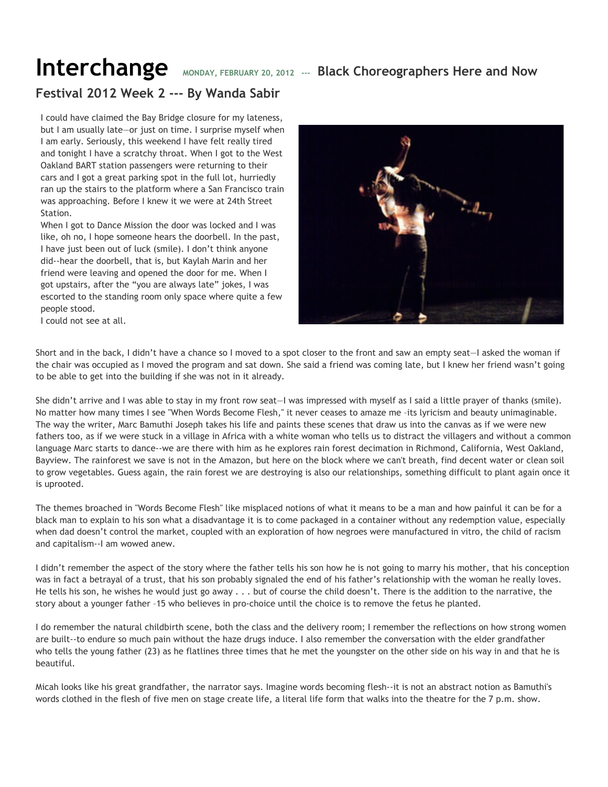## **Interchange** MONDAY, FEBRUARY 20, 2012 --- Black Choreographers Here and Now

## **Festival 2012 Week 2 --- By Wanda Sabir**

I could have claimed the Bay Bridge closure for my lateness, but I am usually late—or just on time. I surprise myself when I am early. Seriously, this weekend I have felt really tired and tonight I have a scratchy throat. When I got to the West Oakland BART station passengers were returning to their cars and I got a great parking spot in the full lot, hurriedly ran up the stairs to the platform where a San Francisco train was approaching. Before I knew it we were at 24th Street Station.

When I got to Dance Mission the door was locked and I was like, oh no, I hope someone hears the doorbell. In the past, I have just been out of luck (smile). I don't think anyone did--hear the doorbell, that is, but Kaylah Marin and her friend were leaving and opened the door for me. When I got upstairs, after the "you are always late" jokes, I was escorted to the standing room only space where quite a few people stood.



I could not see at all.

Short and in the back, I didn't have a chance so I moved to a spot closer to the front and saw an empty seat—I asked the woman if the chair was occupied as I moved the program and sat down. She said a friend was coming late, but I knew her friend wasn't going to be able to get into the building if she was not in it already.

She didn't arrive and I was able to stay in my front row seat—I was impressed with myself as I said a little prayer of thanks (smile). No matter how many times I see "When Words Become Flesh," it never ceases to amaze me –its lyricism and beauty unimaginable. The way the writer, Marc Bamuthi Joseph takes his life and paints these scenes that draw us into the canvas as if we were new fathers too, as if we were stuck in a village in Africa with a white woman who tells us to distract the villagers and without a common language Marc starts to dance--we are there with him as he explores rain forest decimation in Richmond, California, West Oakland, Bayview. The rainforest we save is not in the Amazon, but here on the block where we can't breath, find decent water or clean soil to grow vegetables. Guess again, the rain forest we are destroying is also our relationships, something difficult to plant again once it is uprooted.

The themes broached in "Words Become Flesh" like misplaced notions of what it means to be a man and how painful it can be for a black man to explain to his son what a disadvantage it is to come packaged in a container without any redemption value, especially when dad doesn't control the market, coupled with an exploration of how negroes were manufactured in vitro, the child of racism and capitalism--I am wowed anew.

I didn't remember the aspect of the story where the father tells his son how he is not going to marry his mother, that his conception was in fact a betrayal of a trust, that his son probably signaled the end of his father's relationship with the woman he really loves. He tells his son, he wishes he would just go away . . . but of course the child doesn't. There is the addition to the narrative, the story about a younger father –15 who believes in pro-choice until the choice is to remove the fetus he planted.

I do remember the natural childbirth scene, both the class and the delivery room; I remember the reflections on how strong women are built--to endure so much pain without the haze drugs induce. I also remember the conversation with the elder grandfather who tells the young father (23) as he flatlines three times that he met the youngster on the other side on his way in and that he is beautiful.

Micah looks like his great grandfather, the narrator says. Imagine words becoming flesh--it is not an abstract notion as Bamuthi's words clothed in the flesh of five men on stage create life, a literal life form that walks into the theatre for the 7 p.m. show.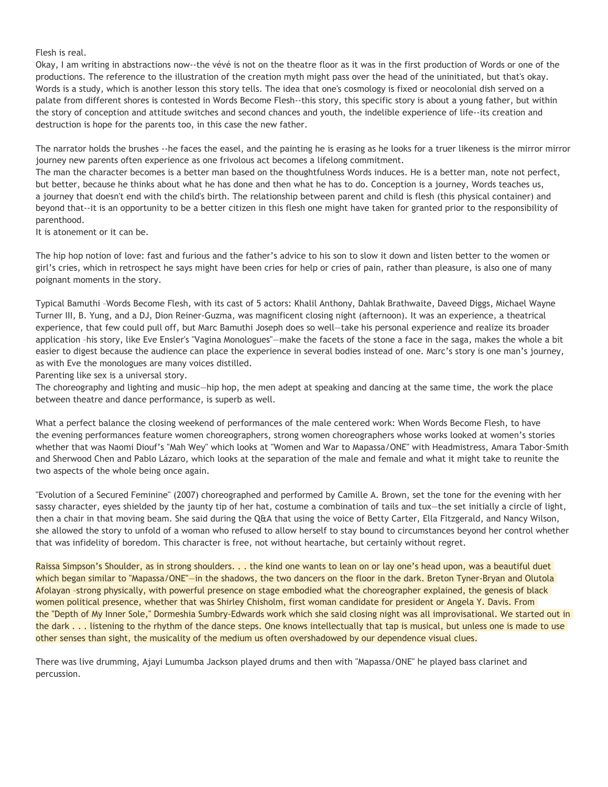Flesh is real.

Okay, I am writing in abstractions now--the vévé is not on the theatre floor as it was in the first production of Words or one of the productions. The reference to the illustration of the creation myth might pass over the head of the uninitiated, but that's okay. Words is a study, which is another lesson this story tells. The idea that one's cosmology is fixed or neocolonial dish served on a palate from different shores is contested in Words Become Flesh--this story, this specific story is about a young father, but within the story of conception and attitude switches and second chances and youth, the indelible experience of life--its creation and destruction is hope for the parents too, in this case the new father.

The narrator holds the brushes --he faces the easel, and the painting he is erasing as he looks for a truer likeness is the mirror mirror journey new parents often experience as one frivolous act becomes a lifelong commitment.

The man the character becomes is a better man based on the thoughtfulness Words induces. He is a better man, note not perfect, but better, because he thinks about what he has done and then what he has to do. Conception is a journey, Words teaches us, a journey that doesn't end with the child's birth. The relationship between parent and child is flesh (this physical container) and beyond that--it is an opportunity to be a better citizen in this flesh one might have taken for granted prior to the responsibility of parenthood.

It is atonement or it can be.

The hip hop notion of love: fast and furious and the father's advice to his son to slow it down and listen better to the women or girl's cries, which in retrospect he says might have been cries for help or cries of pain, rather than pleasure, is also one of many poignant moments in the story.

Typical Bamuthi –Words Become Flesh, with its cast of 5 actors: Khalil Anthony, Dahlak Brathwaite, Daveed Diggs, Michael Wayne Turner III, B. Yung, and a DJ, Dion Reiner-Guzma, was magnificent closing night (afternoon). It was an experience, a theatrical experience, that few could pull off, but Marc Bamuthi Joseph does so well—take his personal experience and realize its broader application –his story, like Eve Ensler's "Vagina Monologues"—make the facets of the stone a face in the saga, makes the whole a bit easier to digest because the audience can place the experience in several bodies instead of one. Marc's story is one man's journey, as with Eve the monologues are many voices distilled.

Parenting like sex is a universal story.

The choreography and lighting and music—hip hop, the men adept at speaking and dancing at the same time, the work the place between theatre and dance performance, is superb as well.

What a perfect balance the closing weekend of performances of the male centered work: When Words Become Flesh, to have the evening performances feature women choreographers, strong women choreographers whose works looked at women's stories whether that was Naomi Diouf's "Mah Wey" which looks at "Women and War to Mapassa/ONE" with Headmistress, Amara Tabor-Smith and Sherwood Chen and Pablo Lázaro, which looks at the separation of the male and female and what it might take to reunite the two aspects of the whole being once again.

"Evolution of a Secured Feminine" (2007) choreographed and performed by Camille A. Brown, set the tone for the evening with her sassy character, eyes shielded by the jaunty tip of her hat, costume a combination of tails and tux—the set initially a circle of light, then a chair in that moving beam. She said during the Q&A that using the voice of Betty Carter, Ella Fitzgerald, and Nancy Wilson, she allowed the story to unfold of a woman who refused to allow herself to stay bound to circumstances beyond her control whether that was infidelity of boredom. This character is free, not without heartache, but certainly without regret.

Raissa Simpson's Shoulder, as in strong shoulders. . . the kind one wants to lean on or lay one's head upon, was a beautiful duet which began similar to "Mapassa/ONE"—in the shadows, the two dancers on the floor in the dark. Breton Tyner-Bryan and Olutola Afolayan –strong physically, with powerful presence on stage embodied what the choreographer explained, the genesis of black women political presence, whether that was Shirley Chisholm, first woman candidate for president or Angela Y. Davis. From the "Depth of My Inner Sole," Dormeshia Sumbry-Edwards work which she said closing night was all improvisational. We started out in the dark . . . listening to the rhythm of the dance steps. One knows intellectually that tap is musical, but unless one is made to use other senses than sight, the musicality of the medium us often overshadowed by our dependence visual clues.

There was live drumming, Ajayi Lumumba Jackson played drums and then with "Mapassa/ONE" he played bass clarinet and percussion.